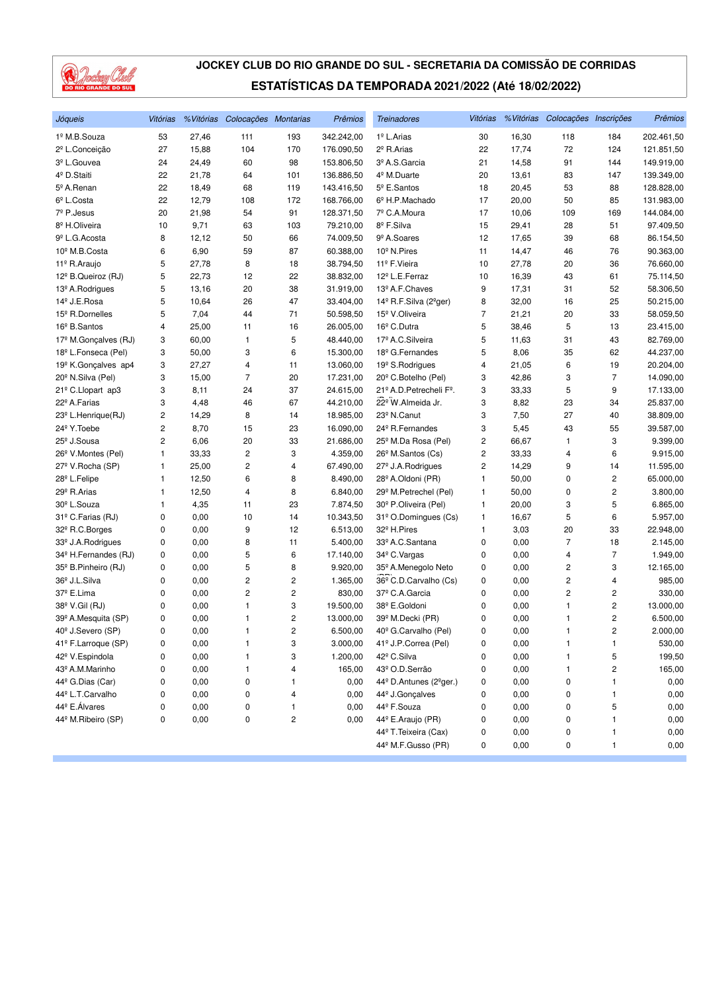

| Jóqueis                          | Vitórias     | % Vitórias | Colocações Montarias |                | Prêmios    | <b>Treinadores</b>                             | Vitórias |       | %Vitórias Colocações Inscrições |                | Prêmios    |
|----------------------------------|--------------|------------|----------------------|----------------|------------|------------------------------------------------|----------|-------|---------------------------------|----------------|------------|
| 1º M.B.Souza                     | 53           | 27,46      | 111                  | 193            | 342.242,00 | 1º L.Arias                                     | 30       | 16,30 | 118                             | 184            | 202.461,50 |
| 2 <sup>º</sup> L.Conceição       | 27           | 15,88      | 104                  | 170            | 176.090,50 | 2 <sup>º</sup> R.Arias                         | 22       | 17,74 | 72                              | 124            | 121.851,50 |
| 3º L.Gouvea                      | 24           | 24,49      | 60                   | 98             | 153.806,50 | 3º A.S.Garcia                                  | 21       | 14,58 | 91                              | 144            | 149.919,00 |
| 4 <sup>º</sup> D.Staiti          | 22           | 21,78      | 64                   | 101            | 136.886,50 | 4 <sup>°</sup> M.Duarte                        | 20       | 13,61 | 83                              | 147            | 139.349,00 |
| 5º A.Renan                       | 22           | 18,49      | 68                   | 119            | 143.416,50 | 5 <sup>°</sup> E.Santos                        | 18       | 20,45 | 53                              | 88             | 128.828,00 |
| 6 <sup>°</sup> L.Costa           | 22           | 12,79      | 108                  | 172            | 168.766,00 | 6º H.P.Machado                                 | 17       | 20,00 | 50                              | 85             | 131.983,00 |
| 7º P.Jesus                       | 20           | 21,98      | 54                   | 91             | 128.371,50 | 7º C.A.Moura                                   | 17       | 10,06 | 109                             | 169            | 144.084,00 |
| 8 <sup>º</sup> H.Oliveira        | 10           | 9,71       | 63                   | 103            | 79.210,00  | 8º F.Silva                                     | 15       | 29,41 | 28                              | 51             | 97.409,50  |
| 9 <sup>º</sup> L.G. Acosta       | 8            | 12,12      | 50                   | 66             | 74.009,50  | 9 <sup>º</sup> A.Soares                        | 12       | 17,65 | 39                              | 68             | 86.154,50  |
| 10 <sup>º</sup> M.B.Costa        | 6            | 6,90       | 59                   | 87             | 60.388,00  | 10 <sup>º</sup> N.Pires                        | 11       | 14,47 | 46                              | 76             | 90.363,00  |
| 11º R.Araujo                     | 5            | 27,78      | 8                    | 18             | 38.794,50  | 11º F.Vieira                                   | 10       | 27,78 | 20                              | 36             | 76.660,00  |
| 12 <sup>°</sup> B.Queiroz (RJ)   | 5            | 22,73      | 12                   | 22             | 38.832,00  | 12 <sup>º</sup> L.E.Ferraz                     | 10       | 16,39 | 43                              | 61             | 75.114,50  |
| 13 <sup>º</sup> A.Rodrigues      | 5            | 13,16      | 20                   | 38             | 31.919,00  | 13º A.F.Chaves                                 | 9        | 17,31 | 31                              | 52             | 58.306,50  |
| 14º J.E.Rosa                     | 5            | 10,64      | 26                   | 47             | 33.404,00  | 14 <sup>°</sup> R.F.Silva (2 <sup>°</sup> ger) | 8        | 32,00 | 16                              | 25             | 50.215,00  |
| 15 <sup>°</sup> R.Dornelles      | 5            | 7,04       | 44                   | 71             | 50.598,50  | 15 <sup>º</sup> V.Oliveira                     | 7        | 21,21 | 20                              | 33             | 58.059,50  |
| 16 <sup>°</sup> B.Santos         | 4            | 25,00      | 11                   | 16             | 26.005,00  | 16 <sup>°</sup> C.Dutra                        | 5        | 38,46 | 5                               | 13             | 23.415,00  |
| 17 <sup>º</sup> M.Gonçalves (RJ) | 3            | 60,00      | 1                    | 5              | 48.440,00  | 17 <sup>º</sup> A.C.Silveira                   | 5        | 11,63 | 31                              | 43             | 82.769,00  |
| 18º L.Fonseca (Pel)              | 3            | 50,00      | 3                    | 6              | 15.300,00  | 18 <sup>°</sup> G.Fernandes                    | 5        | 8,06  | 35                              | 62             | 44.237,00  |
| 19 <sup>º</sup> K.Gonçalves ap4  | 3            | 27,27      | 4                    | 11             | 13.060,00  | 19 <sup>º</sup> S.Rodrigues                    | 4        | 21,05 | 6                               | 19             | 20.204,00  |
| 20 <sup>°</sup> N.Silva (Pel)    | 3            | 15,00      | $\overline{7}$       | 20             | 17.231,00  | 20 <sup>°</sup> C.Botelho (Pel)                | 3        | 42,86 | 3                               | $\overline{7}$ | 14.090,00  |
| 21º C.Llopart ap3                | 3            | 8,11       | 24                   | 37             | 24.615,00  | 21º A.D. Petrecheli Fº.                        | 3        | 33,33 | 5                               | 9              | 17.133,00  |
| 22º A.Farias                     | 3            | 4,48       | 46                   | 67             | 44.210,00  | 22 <sup>°</sup> W.Almeida Jr.                  | 3        | 8,82  | 23                              | 34             | 25.837,00  |
| 23 <sup>°</sup> L.Henrique(RJ)   | 2            | 14,29      | 8                    | 14             | 18.985,00  | 23 <sup>º</sup> N.Canut                        | 3        | 7,50  | 27                              | 40             | 38.809,00  |
| 24 <sup>°</sup> Y. Toebe         | 2            | 8,70       | 15                   | 23             | 16.090,00  | 24 <sup>°</sup> R.Fernandes                    | 3        | 5,45  | 43                              | 55             | 39.587,00  |
| 25 <sup>°</sup> J.Sousa          | 2            | 6,06       | 20                   | 33             | 21.686,00  | 25 <sup>°</sup> M.Da Rosa (Pel)                | 2        | 66,67 | 1                               | 3              | 9.399,00   |
| 26 <sup>°</sup> V.Montes (Pel)   | 1            | 33,33      | 2                    | 3              | 4.359,00   | 26 <sup>°</sup> M.Santos (Cs)                  | 2        | 33,33 | 4                               | 6              | 9.915,00   |
| 27º V.Rocha (SP)                 | 1            | 25,00      | 2                    | 4              | 67.490,00  | 27 <sup>°</sup> J.A.Rodrigues                  | 2        | 14,29 | 9                               | 14             | 11.595,00  |
| 28º L.Felipe                     | 1            | 12,50      | 6                    | 8              | 8.490,00   | 28 <sup>°</sup> A.Oldoni (PR)                  | 1        | 50,00 | 0                               | $\overline{c}$ | 65.000,00  |
| 29 <sup>°</sup> R.Arias          | $\mathbf{1}$ | 12,50      | 4                    | 8              | 6.840,00   | 29 <sup>°</sup> M.Petrechel (Pel)              | 1        | 50,00 | 0                               | 2              | 3.800,00   |
| 30 <sup>°</sup> L.Souza          | 1            | 4,35       | 11                   | 23             | 7.874,50   | 30 <sup>°</sup> P.Oliveira (Pel)               | 1        | 20,00 | 3                               | 5              | 6.865,00   |
| 31º C.Farias (RJ)                | 0            | 0,00       | 10                   | 14             | 10.343,50  | 31º O.Domingues (Cs)                           | 1        | 16,67 | 5                               | 6              | 5.957,00   |
| 32º R.C.Borges                   | 0            | 0,00       | 9                    | 12             | 6.513,00   | 32 <sup>°</sup> H.Pires                        | 1        | 3,03  | 20                              | 33             | 22.948,00  |
| 33º J.A.Rodrigues                | 0            | 0,00       | 8                    | 11             | 5.400,00   | 33º A.C.Santana                                | 0        | 0,00  | 7                               | 18             | 2.145,00   |
| 34 <sup>°</sup> H.Fernandes (RJ) | 0            | 0,00       | 5                    | 6              | 17.140,00  | 34 <sup>°</sup> C. Vargas                      | 0        | 0,00  | 4                               | $\overline{7}$ | 1.949,00   |
| 35 <sup>°</sup> B. Pinheiro (RJ) | 0            | 0,00       | 5                    | 8              | 9.920,00   | 35º A.Menegolo Neto                            | 0        | 0,00  | $\overline{\mathbf{c}}$         | 3              | 12.165,00  |
| 36 <sup>°</sup> J.L.Silva        | 0            | 0,00       | 2                    | 2              | 1.365,00   | 36 <sup>°</sup> C.D.Carvalho (Cs)              | 0        | 0,00  | 2                               | 4              | 985,00     |
| 37º E.Lima                       | 0            | 0,00       | 2                    | 2              | 830,00     | 37º C.A.Garcia                                 | 0        | 0,00  | 2                               | 2              | 330,00     |
| 38º V.Gil (RJ)                   | 0            | 0,00       | 1                    | 3              | 19.500,00  | 38º E.Goldoni                                  | 0        | 0,00  | 1                               | 2              | 13.000,00  |
| 39º A.Mesquita (SP)              | 0            | 0,00       | 1                    | 2              | 13.000,00  | 39 <sup>°</sup> M.Decki (PR)                   | 0        | 0,00  | 1                               | 2              | 6.500,00   |
| 40 <sup>°</sup> J.Severo (SP)    | 0            | 0,00       | 1                    | $\overline{2}$ | 6.500,00   | 40° G.Carvalho (Pel)                           | 0        | 0.00  | $\mathbf{1}$                    | $\overline{c}$ | 2.000,00   |
| 41º F.Larroque (SP)              | 0            | 0,00       | 1                    | 3              | 3.000,00   | 41º J.P.Correa (Pel)                           | 0        | 0,00  | 1                               | 1              | 530,00     |
| 42 <sup>º</sup> V.Espindola      | 0            | 0,00       | 1                    | 3              | 1.200,00   | 42º C.Silva                                    | 0        | 0,00  | 1                               | 5              | 199,50     |
| 43 <sup>º</sup> A.M.Marinho      | 0            | 0,00       | 1                    | 4              | 165,00     | 43º O.D.Serrão                                 | 0        | 0,00  | 1                               | 2              | 165,00     |
| 44 <sup>°</sup> G.Dias (Car)     | 0            | 0,00       | 0                    | 1              | 0,00       | 44º D.Antunes (2 <sup>o</sup> ger.)            | 0        | 0,00  | 0                               | 1              | 0,00       |
| 44º L.T.Carvalho                 | 0            | 0,00       | 0                    | 4              | 0,00       | 44 <sup>º</sup> J.Gonçalves                    | 0        | 0,00  | 0                               | 1              | 0,00       |
| 44 <sup>°</sup> E. Álvares       | 0            | 0,00       | 0                    | 1              | 0,00       | 44º F.Souza                                    | 0        | 0,00  | 0                               | 5              | 0,00       |
| 44º M.Ribeiro (SP)               | 0            | 0,00       | 0                    | 2              | 0,00       | 44º E.Araujo (PR)                              | 0        | 0,00  | 0                               | $\mathbf{1}$   | 0,00       |
|                                  |              |            |                      |                |            | 44º T. Teixeira (Cax)                          | 0        | 0,00  | 0                               | 1              | 0,00       |
|                                  |              |            |                      |                |            | 44 <sup>°</sup> M.F.Gusso (PR)                 | 0        | 0,00  | 0                               | 1              | 0,00       |
|                                  |              |            |                      |                |            |                                                |          |       |                                 |                |            |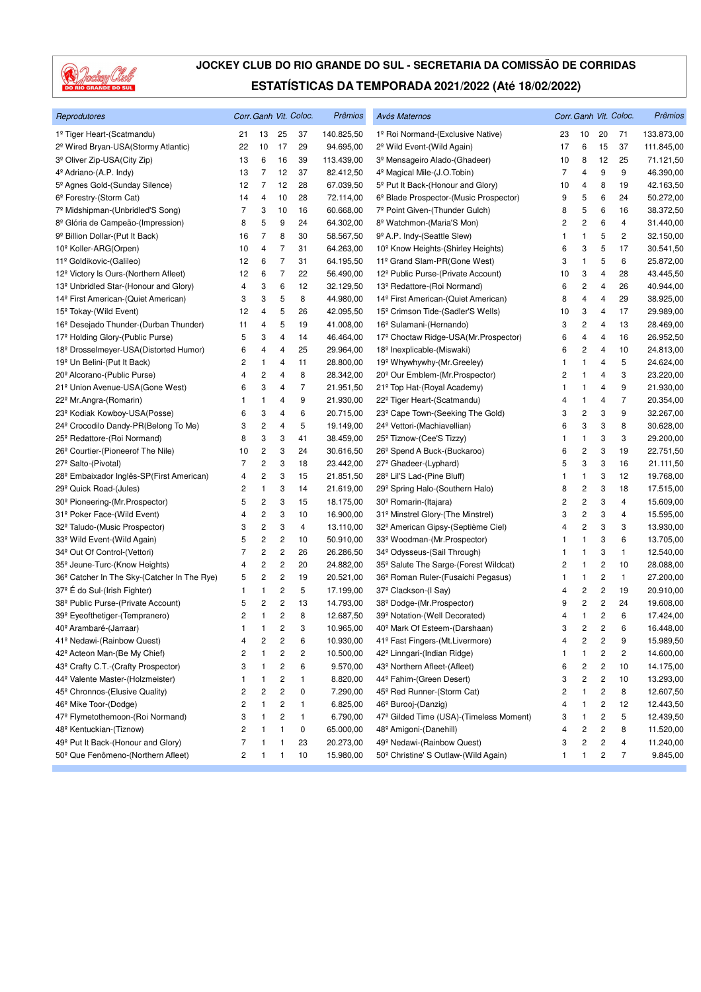

| Reprodutores                                            |              |                         |                         | Corr. Ganh Vit. Coloc. | <b>Prêmios</b> | Avós Maternos                                    |                |                         |                         | Corr. Ganh Vit. Coloc. | Prêmios    |
|---------------------------------------------------------|--------------|-------------------------|-------------------------|------------------------|----------------|--------------------------------------------------|----------------|-------------------------|-------------------------|------------------------|------------|
| 1º Tiger Heart-(Scatmandu)                              | 21           | 13                      | 25                      | 37                     | 140.825,50     | 1º Roi Normand-(Exclusive Native)                | 23             | 10                      | 20                      | 71                     | 133.873,00 |
| 2 <sup>º</sup> Wired Bryan-USA(Stormy Atlantic)         | 22           | 10                      | 17                      | 29                     | 94.695,00      | 2 <sup>°</sup> Wild Event-(Wild Again)           | 17             | 6                       | 15                      | 37                     | 111.845,00 |
| 3º Oliver Zip-USA(City Zip)                             | 13           | 6                       | 16                      | 39                     | 113.439,00     | 3 <sup>º</sup> Mensageiro Alado-(Ghadeer)        | 10             | 8                       | 12                      | 25                     | 71.121,50  |
| 4 <sup>º</sup> Adriano-(A.P. Indy)                      | 13           | 7                       | 12                      | 37                     | 82.412,50      | 4 <sup>º</sup> Magical Mile-(J.O.Tobin)          | $\overline{7}$ | 4                       | 9                       | 9                      | 46.390,00  |
| 5 <sup>°</sup> Agnes Gold-(Sunday Silence)              | 12           | 7                       | 12                      | 28                     | 67.039,50      | 5 <sup>°</sup> Put It Back-(Honour and Glory)    | 10             | 4                       | 8                       | 19                     | 42.163,50  |
| 6 <sup>°</sup> Forestry-(Storm Cat)                     | 14           | 4                       | 10                      | 28                     | 72.114,00      | 6º Blade Prospector-(Music Prospector)           | 9              | 5                       | 6                       | 24                     | 50.272,00  |
| 7º Midshipman-(Unbridled'S Song)                        | 7            | 3                       | 10                      | 16                     | 60.668,00      | 7º Point Given-(Thunder Gulch)                   | 8              | 5                       | 6                       | 16                     | 38.372,50  |
| 8 <sup>º</sup> Glória de Campeão-(Impression)           | 8            | 5                       | 9                       | 24                     | 64.302,00      | 8º Watchmon-(Maria'S Mon)                        | 2              | 2                       | 6                       | $\overline{4}$         | 31.440,00  |
| 9 <sup>º</sup> Billion Dollar-(Put It Back)             | 16           | 7                       | 8                       | 30                     | 58.567,50      | 9º A.P. Indy-(Seattle Slew)                      | 1              | 1                       | 5                       | 2                      | 32.150,00  |
| 10 <sup>°</sup> Koller-ARG(Orpen)                       | 10           | 4                       | 7                       | 31                     | 64.263,00      | 10 <sup>°</sup> Know Heights-(Shirley Heights)   | 6              | 3                       | 5                       | 17                     | 30.541,50  |
| 11º Goldikovic-(Galileo)                                | 12           | 6                       | $\overline{7}$          | 31                     | 64.195,50      | 11º Grand Slam-PR(Gone West)                     | 3              | 1                       | 5                       | 6                      | 25.872,00  |
| 12 <sup>°</sup> Victory Is Ours-(Northern Afleet)       | 12           | 6                       | $\overline{7}$          | 22                     | 56.490,00      | 12º Public Purse-(Private Account)               | 10             | 3                       | 4                       | 28                     | 43.445,50  |
| 13 <sup>º</sup> Unbridled Star-(Honour and Glory)       | 4            | 3                       | 6                       | 12                     | 32.129,50      | 13º Redattore-(Roi Normand)                      | 6              | 2                       | 4                       | 26                     | 40.944,00  |
| 14 <sup>º</sup> First American-(Quiet American)         | 3            | 3                       | 5                       | 8                      | 44.980,00      | 14 <sup>º</sup> First American-(Quiet American)  | 8              | 4                       | 4                       | 29                     | 38.925,00  |
| 15 <sup>°</sup> Tokay-(Wild Event)                      | 12           | 4                       | 5                       | 26                     | 42.095,50      | 15 <sup>°</sup> Crimson Tide-(Sadler'S Wells)    | 10             | 3                       | 4                       | 17                     | 29.989,00  |
| 16 <sup>°</sup> Desejado Thunder-(Durban Thunder)       | 11           | 4                       | 5                       | 19                     | 41.008,00      | 16 <sup>°</sup> Sulamani-(Hernando)              | 3              | $\overline{c}$          | 4                       | 13                     | 28.469,00  |
| 17º Holding Glory-(Public Purse)                        | 5            | 3                       | 4                       | 14                     | 46.464,00      | 17º Choctaw Ridge-USA(Mr.Prospector)             | 6              | 4                       | 4                       | 16                     | 26.952,50  |
| 18 <sup>°</sup> Drosselmeyer-USA(Distorted Humor)       | 6            | 4                       | 4                       | 25                     | 29.964,00      | 18 <sup>°</sup> Inexplicable-(Miswaki)           | 6              | 2                       | 4                       | 10                     | 24.813,00  |
| 19 <sup>°</sup> Un Belini-(Put It Back)                 | 2            | 1                       | 4                       | 11                     | 28.800,00      | 19 <sup>°</sup> Whywhywhy-(Mr.Greeley)           | 1              | $\mathbf{1}$            | 4                       | 5                      | 24.624,00  |
| 20 <sup>°</sup> Alcorano-(Public Purse)                 | 4            | 2                       | 4                       | 8                      | 28.342,00      | 20 <sup>°</sup> Our Emblem-(Mr.Prospector)       | 2              | 1                       | 4                       | 3                      | 23.220,00  |
| 21º Union Avenue-USA(Gone West)                         | 6            | 3                       | 4                       | 7                      | 21.951,50      | 21º Top Hat-(Royal Academy)                      | 1              | $\mathbf{1}$            | 4                       | 9                      | 21.930,00  |
| 22 <sup>°</sup> Mr.Angra-(Romarin)                      | 1            | 1                       | 4                       | 9                      | 21.930,00      | 22 <sup>°</sup> Tiger Heart-(Scatmandu)          | 4              | 1                       | 4                       | $\overline{7}$         | 20.354,00  |
| 23 <sup>°</sup> Kodiak Kowboy-USA(Posse)                | 6            | 3                       | 4                       | 6                      | 20.715,00      | 23 <sup>°</sup> Cape Town-(Seeking The Gold)     | 3              | $\overline{\mathbf{c}}$ | 3                       | 9                      | 32.267,00  |
| 24 <sup>°</sup> Crocodilo Dandy-PR(Belong To Me)        | 3            | 2                       | 4                       | 5                      | 19.149,00      | 24 <sup>°</sup> Vettori-(Machiavellian)          | 6              | 3                       | 3                       | 8                      | 30.628,00  |
| 25 <sup>°</sup> Redattore-(Roi Normand)                 | 8            | 3                       | 3                       | 41                     | 38.459,00      | 25 <sup>°</sup> Tiznow-(Cee'S Tizzy)             | 1              | $\mathbf{1}$            | 3                       | 3                      | 29.200,00  |
| 26 <sup>°</sup> Courtier-(Pioneerof The Nile)           | 10           | 2                       | 3                       | 24                     | 30.616,50      | 26 <sup>°</sup> Spend A Buck-(Buckaroo)          | 6              | 2                       | 3                       | 19                     | 22.751,50  |
| 27 <sup>°</sup> Salto-(Pivotal)                         | 7            | 2                       | 3                       | 18                     | 23.442,00      | 27 <sup>°</sup> Ghadeer-(Lyphard)                | 5              | 3                       | 3                       | 16                     | 21.111,50  |
| 28 <sup>°</sup> Embaixador Inglês-SP(First American)    | 4            | 2                       | 3                       | 15                     | 21.851,50      | 28 <sup>°</sup> Lil'S Lad-(Pine Bluff)           | 1              | $\mathbf{1}$            | 3                       | 12                     | 19.768,00  |
| 29 <sup>°</sup> Quick Road-(Jules)                      | 2            | 1                       | 3                       | 14                     | 21.619,00      | 29° Spring Halo-(Southern Halo)                  | 8              | 2                       | 3                       | 18                     | 17.515,00  |
| 30 <sup>°</sup> Pioneering-(Mr.Prospector)              | 5            | 2                       | 3                       | 15                     | 18.175,00      | 30 <sup>°</sup> Romarin-(Itajara)                | 2              | 2                       | 3                       | 4                      | 15.609,00  |
| 31º Poker Face-(Wild Event)                             | 4            | $\overline{\mathbf{c}}$ | 3                       | 10                     | 16.900,00      | 31º Minstrel Glory-(The Minstrel)                | 3              | 2                       | 3                       | $\overline{4}$         | 15.595,00  |
| 32º Taludo-(Music Prospector)                           | 3            | 2                       | 3                       | 4                      | 13.110,00      | 32º American Gipsy-(Septième Ciel)               | 4              | 2                       | 3                       | 3                      | 13.930,00  |
| 33º Wild Event-(Wild Again)                             | 5            | 2                       | $\overline{\mathbf{c}}$ | 10                     | 50.910,00      | 33º Woodman-(Mr.Prospector)                      | 1              | 1                       | 3                       | 6                      | 13.705,00  |
| 34 <sup>°</sup> Out Of Control-(Vettori)                | 7            | 2                       | $\overline{\mathbf{c}}$ | 26                     | 26.286,50      | 34 <sup>°</sup> Odysseus-(Sail Through)          | 1              | $\mathbf{1}$            | 3                       | 1                      | 12.540,00  |
| 35 <sup>°</sup> Jeune-Turc-(Know Heights)               | 4            | 2                       | $\overline{c}$          | 20                     | 24.882,00      | 35º Salute The Sarge-(Forest Wildcat)            | 2              | $\mathbf{1}$            | $\overline{\mathbf{c}}$ | 10                     | 28.088,00  |
| 36 <sup>°</sup> Catcher In The Sky-(Catcher In The Rye) | 5            | 2                       | $\overline{\mathbf{c}}$ | 19                     | 20.521,00      | 36 <sup>°</sup> Roman Ruler-(Fusaichi Pegasus)   | 1              | $\mathbf{1}$            | 2                       | 1                      | 27.200,00  |
| 37º E do Sul-(Irish Fighter)                            | 1            | 1                       | $\overline{\mathbf{c}}$ | 5                      | 17.199,00      | 37 <sup>°</sup> Clackson-(I Say)                 | 4              | 2                       | $\overline{\mathbf{c}}$ | 19                     | 20.910,00  |
| 38º Public Purse-(Private Account)                      | 5            | 2                       | 2                       | 13                     | 14.793,00      | 38 <sup>°</sup> Dodge-(Mr.Prospector)            | 9              | 2                       | $\overline{\mathbf{c}}$ | 24                     | 19.608,00  |
| 39º Eyeofthetiger-(Tempranero)                          | 2            | 1                       | $\overline{c}$          | 8                      | 12.687,50      | 39º Notation-(Well Decorated)                    | 4              | 1                       | 2                       | 6                      | 17.424,00  |
| 40 <sup>°</sup> Arambaré-(Jarraar)                      | $\mathbf{1}$ | 1                       | $\overline{c}$          | 3                      | 10.965,00      | 40 <sup>°</sup> Mark Of Esteem-(Darshaan)        | 3              | 2                       | $\overline{c}$          | 6                      | 16.448,00  |
| 41º Nedawi-(Rainbow Quest)                              | 4            | 2                       | $\overline{c}$          | 6                      | 10.930,00      | 41º Fast Fingers-(Mt.Livermore)                  | 4              | $\overline{\mathbf{c}}$ | $\overline{c}$          | 9                      | 15.989,50  |
| 42º Acteon Man-(Be My Chief)                            | 2            | 1                       | 2                       | 2                      | 10.500,00      | 42 <sup>°</sup> Linngari-(Indian Ridge)          |                | 1                       | 2                       | 2                      | 14.600,00  |
| 43º Crafty C.T.-(Crafty Prospector)                     | 3            | 1                       | 2                       | 6                      | 9.570,00       | 43 <sup>°</sup> Northern Afleet-(Afleet)         | 6              | 2                       | 2                       | 10                     | 14.175,00  |
| 44º Valente Master-(Holzmeister)                        | 1            | 1                       | 2                       | 1                      | 8.820,00       | 44º Fahim-(Green Desert)                         | 3              | 2                       | $\overline{\mathbf{c}}$ | 10                     | 13.293,00  |
| 45 <sup>°</sup> Chronnos-(Elusive Quality)              | 2            | 2                       | $\overline{\mathbf{c}}$ | 0                      | 7.290,00       | 45 <sup>°</sup> Red Runner-(Storm Cat)           | 2              | $\mathbf{1}$            | $\mathbf 2$             | 8                      | 12.607,50  |
| 46 <sup>°</sup> Mike Toor-(Dodge)                       | 2            | 1                       | $\overline{\mathbf{c}}$ | $\mathbf{1}$           | 6.825,00       | 46 <sup>°</sup> Burooj-(Danzig)                  | 4              | 1                       | $\overline{\mathbf{c}}$ | 12                     | 12.443,50  |
| 47º Flymetothemoon-(Roi Normand)                        | 3            | 1                       | 2                       | $\mathbf{1}$           | 6.790,00       | 47º Gilded Time (USA)-(Timeless Moment)          | 3              | 1                       | $\overline{\mathbf{c}}$ | 5                      | 12.439,50  |
| 48º Kentuckian-(Tiznow)                                 | 2            | 1                       | 1                       | 0                      | 65.000,00      | 48 <sup>°</sup> Amigoni-(Danehill)               | 4              | 2                       | 2                       | 8                      | 11.520,00  |
| 49º Put It Back-(Honour and Glory)                      | 7            | 1                       | 1                       | 23                     | 20.273,00      | 49 <sup>°</sup> Nedawi-(Rainbow Quest)           | 3              | 2                       | 2                       | 4                      | 11.240,00  |
| 50 <sup>°</sup> Que Fenômeno-(Northern Afleet)          | 2            | 1                       | 1                       | 10                     | 15.980,00      | 50 <sup>°</sup> Christine' S Outlaw-(Wild Again) | 1              | 1                       | 2                       | 7                      | 9.845,00   |
|                                                         |              |                         |                         |                        |                |                                                  |                |                         |                         |                        |            |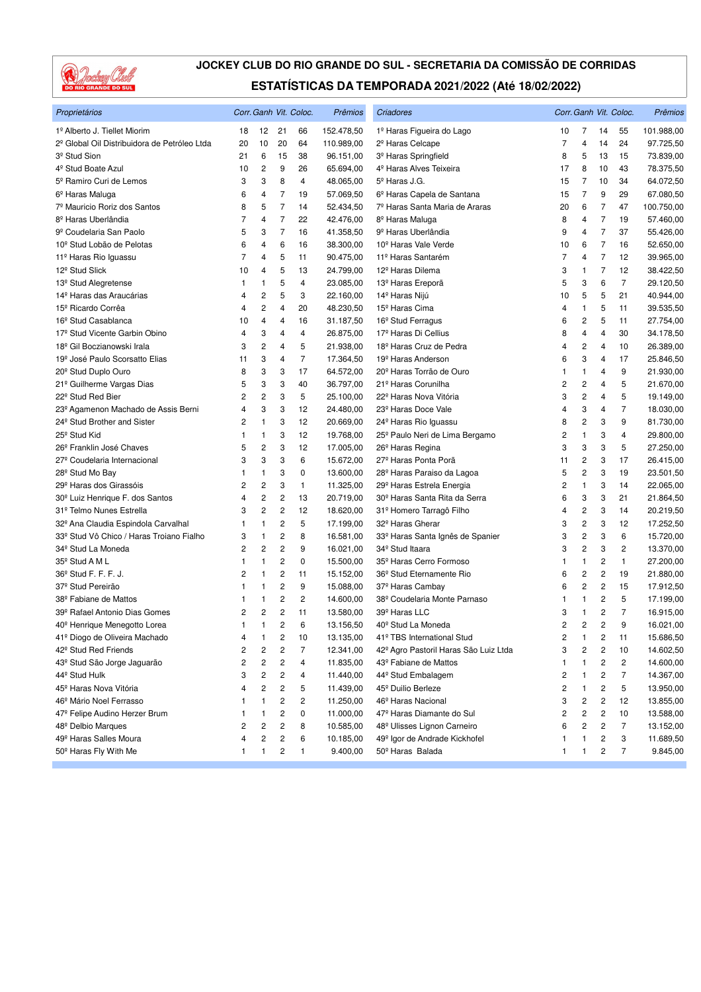

| Proprietários                                |    |                         |                         | Corr. Ganh Vit. Coloc. | Prêmios    | Criadores                                 |                |                         |                | Corr. Ganh Vit. Coloc. | Prêmios    |
|----------------------------------------------|----|-------------------------|-------------------------|------------------------|------------|-------------------------------------------|----------------|-------------------------|----------------|------------------------|------------|
| 1º Alberto J. Tiellet Miorim                 | 18 | 12                      | 21                      | 66                     | 152.478,50 | 1º Haras Figueira do Lago                 | 10             | 7                       | 14             | 55                     | 101.988,00 |
| 2º Global Oil Distribuidora de Petróleo Ltda | 20 | 10                      | 20                      | 64                     | 110.989,00 | 2 <sup>º</sup> Haras Celcape              | $\overline{7}$ | 4                       | 14             | 24                     | 97.725,50  |
| 3 <sup>º</sup> Stud Sion                     | 21 | 6                       | 15                      | 38                     | 96.151,00  | 3 <sup>º</sup> Haras Springfield          | 8              | 5                       | 13             | 15                     | 73.839,00  |
| 4 <sup>º</sup> Stud Boate Azul               | 10 | 2                       | 9                       | 26                     | 65.694,00  | 4 <sup>º</sup> Haras Alves Teixeira       | 17             | 8                       | 10             | 43                     | 78.375,50  |
| 5º Ramiro Curi de Lemos                      | 3  | 3                       | 8                       | $\overline{4}$         | 48.065,00  | 5 <sup>º</sup> Haras J.G.                 | 15             | 7                       | 10             | 34                     | 64.072,50  |
| 6 <sup>º</sup> Haras Maluga                  | 6  | 4                       | 7                       | 19                     | 57.069,50  | 6 <sup>°</sup> Haras Capela de Santana    | 15             | 7                       | 9              | 29                     | 67.080,50  |
| 7º Mauricio Roriz dos Santos                 | 8  | 5                       | $\overline{7}$          | 14                     | 52.434,50  | 7º Haras Santa Maria de Araras            | 20             | 6                       | $\overline{7}$ | 47                     | 100.750,00 |
| 8 <sup>º</sup> Haras Uberlândia              | 7  | 4                       | 7                       | 22                     | 42.476,00  | 8 <sup>°</sup> Haras Maluga               | 8              | 4                       | 7              | 19                     | 57.460,00  |
| 9 <sup>º</sup> Coudelaria San Paolo          | 5  | 3                       | 7                       | 16                     | 41.358,50  | 9 <sup>º</sup> Haras Uberlândia           | 9              | 4                       | $\overline{7}$ | 37                     | 55.426,00  |
| 10 <sup>°</sup> Stud Lobão de Pelotas        | 6  | 4                       | 6                       | 16                     | 38.300,00  | 10 <sup>°</sup> Haras Vale Verde          | 10             | 6                       | 7              | 16                     | 52.650,00  |
| 11º Haras Rio Iguassu                        | 7  | 4                       | 5                       | 11                     | 90.475,00  | 11 <sup>º</sup> Haras Santarém            | 7              | 4                       | $\overline{7}$ | 12                     | 39.965,00  |
| 12 <sup>º</sup> Stud Slick                   | 10 | 4                       | 5                       | 13                     | 24.799,00  | 12 <sup>º</sup> Haras Dilema              | 3              | $\mathbf{1}$            | $\overline{7}$ | 12                     | 38.422,50  |
| 13 <sup>º</sup> Stud Alegretense             | 1  | 1                       | 5                       | 4                      | 23.085,00  | 13 <sup>º</sup> Haras Ereporã             | 5              | 3                       | 6              | 7                      | 29.120,50  |
| 14 <sup>º</sup> Haras das Araucárias         | 4  | $\overline{\mathbf{c}}$ | 5                       | 3                      | 22.160,00  | 14º Haras Nijú                            | 10             | 5                       | 5              | 21                     | 40.944,00  |
| 15 <sup>°</sup> Ricardo Corrêa               | 4  | 2                       | 4                       | 20                     | 48.230,50  | 15 <sup>°</sup> Haras Cima                | 4              | $\mathbf{1}$            | 5              | 11                     | 39.535,50  |
| 16 <sup>°</sup> Stud Casablanca              | 10 | 4                       | 4                       | 16                     | 31.187,50  | 16 <sup>°</sup> Stud Ferragus             | 6              | $\overline{\mathbf{c}}$ | 5              | 11                     | 27.754,00  |
| 17 <sup>º</sup> Stud Vicente Garbin Obino    | 4  | 3                       | 4                       | 4                      | 26.875,00  | 17º Haras Di Cellius                      | 8              | 4                       | 4              | 30                     | 34.178,50  |
| 18 <sup>º</sup> Gil Boczianowski Irala       | 3  | 2                       | 4                       | 5                      | 21.938,00  | 18 <sup>º</sup> Haras Cruz de Pedra       | 4              | $\overline{c}$          | 4              | 10                     | 26.389,00  |
| 19º José Paulo Scorsatto Elias               | 11 | 3                       | 4                       | $\overline{7}$         | 17.364,50  | 19 <sup>°</sup> Haras Anderson            | 6              | 3                       | 4              | 17                     | 25.846,50  |
| 20 <sup>°</sup> Stud Duplo Ouro              | 8  | 3                       | 3                       | 17                     | 64.572,00  | 20 <sup>°</sup> Haras Torrão de Ouro      | 1              | $\mathbf{1}$            | $\overline{4}$ | 9                      | 21.930,00  |
| 21º Guilherme Vargas Dias                    | 5  | 3                       | 3                       | 40                     | 36.797,00  | 21 <sup>º</sup> Haras Corunilha           | 2              | $\overline{\mathbf{c}}$ | 4              | 5                      | 21.670,00  |
| 22 <sup>°</sup> Stud Red Bier                | 2  | 2                       | 3                       | 5                      | 25.100,00  | 22 <sup>º</sup> Haras Nova Vitória        | 3              | $\overline{\mathbf{c}}$ | 4              | 5                      | 19.149,00  |
| 23º Agamenon Machado de Assis Berni          | 4  | 3                       | 3                       | 12                     | 24.480,00  | 23 <sup>°</sup> Haras Doce Vale           | 4              | 3                       | 4              | 7                      | 18.030,00  |
| 24 <sup>°</sup> Stud Brother and Sister      | 2  | 1                       | 3                       | 12                     | 20.669,00  | 24 <sup>°</sup> Haras Rio Iguassu         | 8              | $\overline{c}$          | 3              | 9                      | 81.730,00  |
| 25 <sup>°</sup> Stud Kid                     | 1  | 1                       | 3                       | 12                     | 19.768,00  | 25º Paulo Neri de Lima Bergamo            | 2              | $\mathbf{1}$            | 3              | 4                      | 29.800,00  |
| 26 <sup>°</sup> Franklin José Chaves         | 5  | 2                       | 3                       | 12                     | 17.005,00  | 26 <sup>°</sup> Haras Regina              | 3              | 3                       | 3              | 5                      | 27.250,00  |
| 27 <sup>º</sup> Coudelaria Internacional     | 3  | 3                       | 3                       | 6                      | 15.672,00  | 27 <sup>º</sup> Haras Ponta Porã          | 11             | $\overline{\mathbf{c}}$ | 3              | 17                     | 26.415,00  |
| 28 <sup>°</sup> Stud Mo Bay                  | 1  | 1                       | 3                       | 0                      | 13.600,00  | 28º Haras Paraiso da Lagoa                | 5              | $\overline{c}$          | 3              | 19                     | 23.501,50  |
| 29º Haras dos Girassóis                      | 2  | 2                       | 3                       | 1                      | 11.325,00  | 29 <sup>°</sup> Haras Estrela Energia     | 2              | $\mathbf{1}$            | 3              | 14                     | 22.065,00  |
| 30 <sup>°</sup> Luiz Henrique F. dos Santos  | 4  | $\overline{c}$          | 2                       | 13                     | 20.719,00  | 30 <sup>°</sup> Haras Santa Rita da Serra | 6              | 3                       | 3              | 21                     | 21.864,50  |
| 31º Telmo Nunes Estrella                     | 3  | $\overline{c}$          | 2                       | 12                     | 18.620,00  | 31º Homero Tarragô Filho                  | 4              | $\overline{c}$          | 3              | 14                     | 20.219,50  |
| 32º Ana Claudia Espindola Carvalhal          | 1  | 1                       | $\overline{\mathbf{c}}$ | 5                      | 17.199,00  | 32 <sup>º</sup> Haras Gherar              | 3              | $\overline{c}$          | 3              | 12                     | 17.252,50  |
| 33º Stud Vô Chico / Haras Troiano Fialho     | 3  | 1                       | 2                       | 8                      | 16.581,00  | 33º Haras Santa Ignês de Spanier          | 3              | $\overline{\mathbf{c}}$ | 3              | 6                      | 15.720,00  |
| 34 <sup>°</sup> Stud La Moneda               | 2  | $\overline{c}$          | $\overline{c}$          | 9                      | 16.021,00  | 34 <sup>°</sup> Stud Itaara               | 3              | $\overline{c}$          | 3              | 2                      | 13.370,00  |
| 35 <sup>°</sup> Stud A M L                   | -1 | 1                       | $\overline{c}$          | 0                      | 15.500,00  | 35 <sup>°</sup> Haras Cerro Formoso       | 1              | $\mathbf{1}$            | 2              | $\mathbf{1}$           | 27.200,00  |
| 36 <sup>°</sup> Stud F. F. F. J.             | 2  | 1                       | 2                       | 11                     | 15.152,00  | 36 <sup>°</sup> Stud Eternamente Rio      | 6              | $\overline{c}$          | 2              | 19                     | 21.880,00  |
| 37 <sup>º</sup> Stud Pereirão                | 1  | 1                       | 2                       | 9                      | 15.088,00  | 37 <sup>°</sup> Haras Cambay              | 6              | $\overline{c}$          | 2              | 15                     | 17.912,50  |
| 38 <sup>°</sup> Fabiane de Mattos            | 1  | 1                       | 2                       | $\overline{c}$         | 14.600,00  | 38º Coudelaria Monte Parnaso              | 1              | 1                       | 2              | 5                      | 17.199,00  |
| 39º Rafael Antonio Dias Gomes                | 2  | $\overline{c}$          | $\overline{c}$          | 11                     | 13.580,00  | 39º Haras LLC                             | 3              | 1                       | 2              | 7                      | 16.915,00  |
| 40 <sup>°</sup> Henrique Menegotto Lorea     | 1  | 1                       | 2                       | 6                      | 13.156,50  | 40 <sup>°</sup> Stud La Moneda            | $\overline{c}$ | $\overline{c}$          | 2              | 9                      | 16.021,00  |
| 41º Diogo de Oliveira Machado                | 4  | 1                       | 2                       | 10                     | 13.135,00  | 41º TBS International Stud                | 2              | 1                       | 2              | 11                     | 15.686,50  |
| 42 <sup>°</sup> Stud Red Friends             | 2  | 2                       | 2                       | $\overline{7}$         | 12.341,00  | 42º Agro Pastoril Haras São Luiz Ltda     | 3              | $\overline{\mathbf{c}}$ | 2              | 10                     | 14.602,50  |
| 43º Stud São Jorge Jaguarão                  | 2  | 2                       | 2                       | 4                      | 11.835,00  | 43 <sup>°</sup> Fabiane de Mattos         | 1              | 1                       | 2              | 2                      | 14.600,00  |
| 44 <sup>º</sup> Stud Hulk                    | 3  | 2                       | $\mathbf 2$             | 4                      | 11.440,00  | 44º Stud Embalagem                        | 2              | 1                       | 2              | 7                      | 14.367,00  |
| 45 <sup>º</sup> Haras Nova Vitória           | 4  | 2                       | $\mathbf 2$             | 5                      | 11.439,00  | 45 <sup>°</sup> Duilio Berleze            | 2              | 1                       | 2              | 5                      | 13.950,00  |
| 46º Mário Noel Ferrasso                      | 1  | 1                       | 2                       | 2                      | 11.250,00  | 46 <sup>°</sup> Haras Nacional            | 3              | $\overline{\mathbf{c}}$ | 2              | 12                     | 13.855,00  |
| 47º Felipe Audino Herzer Brum                | -1 | 1                       | 2                       | 0                      | 11.000,00  | 47º Haras Diamante do Sul                 | 2              | 2                       | 2              | 10                     | 13.588,00  |
| 48 <sup>º</sup> Delbio Marques               | 2  | 2                       | 2                       | 8                      | 10.585,00  | 48 <sup>°</sup> Ulisses Lignon Carneiro   | 6              | 2                       | 2              | 7                      | 13.152,00  |
| 49 <sup>°</sup> Haras Salles Moura           | 4  | 2                       | $\mathbf 2$             | 6                      | 10.185,00  | 49 <sup>°</sup> Igor de Andrade Kickhofel | 1              | $\mathbf{1}$            | 2              | 3                      | 11.689,50  |
| 50º Haras Fly With Me                        | 1  | 1                       | $\overline{\mathbf{c}}$ | 1                      | 9.400,00   | 50 <sup>°</sup> Haras Balada              | 1              | 1                       | 2              | 7                      | 9.845,00   |
|                                              |    |                         |                         |                        |            |                                           |                |                         |                |                        |            |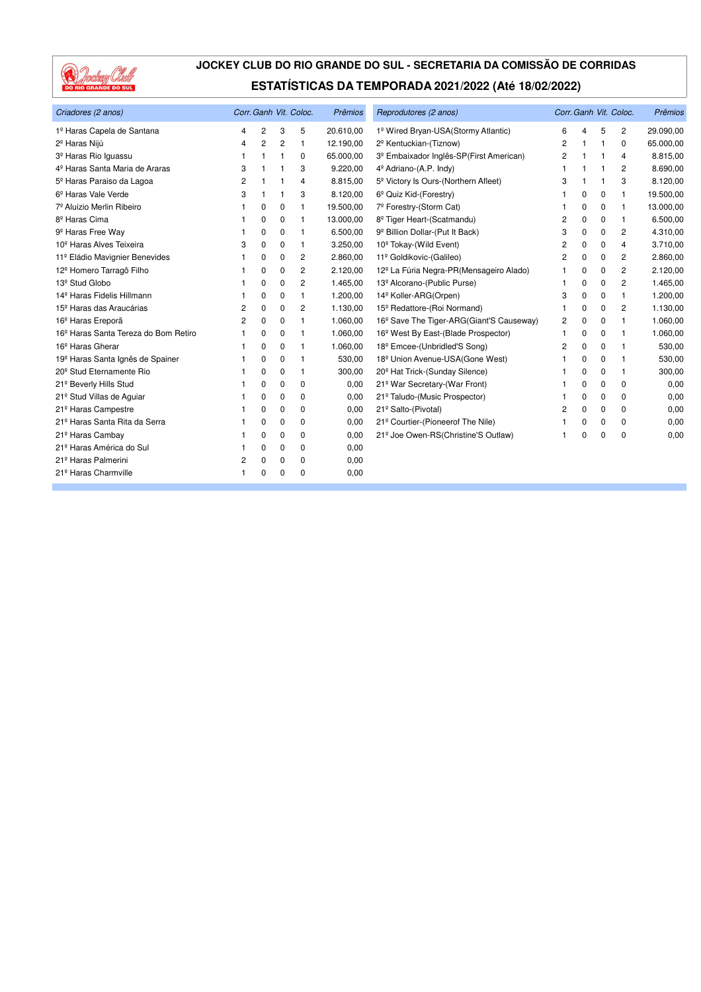

| Criadores (2 anos)                               |   |                |                | Corr. Ganh Vit. Coloc. | Prêmios   | Reprodutores (2 anos)                                |   |          |          | Corr. Ganh Vit. Coloc. | Prêmios   |
|--------------------------------------------------|---|----------------|----------------|------------------------|-----------|------------------------------------------------------|---|----------|----------|------------------------|-----------|
| 1º Haras Capela de Santana                       | 4 | 2              | 3              | 5                      | 20.610,00 | 1º Wired Bryan-USA(Stormy Atlantic)                  | 6 | 4        | 5        | 2                      | 29.090,00 |
| 2 <sup>º</sup> Haras Nijú                        | 4 | $\overline{c}$ | $\overline{2}$ | 1                      | 12.190,00 | 2 <sup>º</sup> Kentuckian-(Tiznow)                   | 2 | 1        | 1        | 0                      | 65.000,00 |
| 3º Haras Rio Iguassu                             |   |                |                | 0                      | 65.000,00 | 3 <sup>º</sup> Embaixador Inglês-SP(First American)  | 2 |          |          | 4                      | 8.815,00  |
| 4 <sup>º</sup> Haras Santa Maria de Araras       | 3 |                |                | 3                      | 9.220,00  | 4 <sup>º</sup> Adriano-(A.P. Indy)                   | 1 |          |          | 2                      | 8.690,00  |
| 5º Haras Paraiso da Lagoa                        | 2 |                |                | 4                      | 8.815,00  | 5 <sup>°</sup> Victory Is Ours-(Northern Afleet)     | 3 |          |          | 3                      | 8.120,00  |
| 6 <sup>°</sup> Haras Vale Verde                  | 3 |                | 1              | 3                      | 8.120,00  | 6 <sup>°</sup> Quiz Kid-(Forestry)                   |   | 0        | 0        | $\mathbf{1}$           | 19.500,00 |
| 7º Aluizio Merlin Ribeiro                        |   | 0              | 0              | 1                      | 19.500,00 | 7º Forestry-(Storm Cat)                              |   | 0        | 0        | $\mathbf{1}$           | 13.000,00 |
| 8 <sup>º</sup> Haras Cima                        |   | $\Omega$       | $\Omega$       | 1                      | 13.000,00 | 8º Tiger Heart-(Scatmandu)                           | 2 | $\Omega$ | $\Omega$ | $\mathbf{1}$           | 6.500,00  |
| 9 <sup>º</sup> Haras Free Way                    |   | 0              | 0              | 1                      | 6.500,00  | 9 <sup>º</sup> Billion Dollar-(Put It Back)          | 3 | 0        | 0        | 2                      | 4.310,00  |
| 10 <sup>°</sup> Haras Alves Teixeira             | 3 | 0              | 0              | 1                      | 3.250,00  | 10 <sup>°</sup> Tokay-(Wild Event)                   | 2 | 0        | 0        | 4                      | 3.710,00  |
| 11º Eládio Mavignier Benevides                   |   | 0              | 0              | 2                      | 2.860,00  | 11º Goldikovic-(Galileo)                             | 2 | 0        | 0        | 2                      | 2.860,00  |
| 12 <sup>º</sup> Homero Tarragô Filho             |   | 0              | 0              | 2                      | 2.120,00  | 12 <sup>º</sup> La Fúria Negra-PR(Mensageiro Alado)  | 1 | 0        | 0        | 2                      | 2.120,00  |
| 13 <sup>º</sup> Stud Globo                       |   | 0              | 0              | 2                      | 1.465,00  | 13º Alcorano-(Public Purse)                          | 1 | $\Omega$ | 0        | 2                      | 1.465,00  |
| 14 <sup>º</sup> Haras Fidelis Hillmann           |   | $\Omega$       | 0              | 1                      | 1.200,00  | 14 <sup>º</sup> Koller-ARG(Orpen)                    | 3 | 0        | 0        | $\mathbf{1}$           | 1.200,00  |
| 15 <sup>°</sup> Haras das Araucárias             | 2 | 0              | 0              | 2                      | 1.130,00  | 15 <sup>°</sup> Redattore-(Roi Normand)              | 1 | 0        | 0        | 2                      | 1.130,00  |
| 16 <sup>º</sup> Haras Ereporã                    | 2 | 0              | 0              | 1                      | 1.060,00  | 16 <sup>°</sup> Save The Tiger-ARG(Giant'S Causeway) | 2 | 0        | 0        | $\mathbf{1}$           | 1.060,00  |
| 16 <sup>°</sup> Haras Santa Tereza do Bom Retiro |   | 0              | 0              |                        | 1.060,00  | 16 <sup>°</sup> West By East-(Blade Prospector)      | 1 | $\Omega$ | $\Omega$ | $\mathbf{1}$           | 1.060,00  |
| 16 <sup>º</sup> Haras Gherar                     |   | $\Omega$       | 0              | 1                      | 1.060,00  | 18º Emcee-(Unbridled'S Song)                         | 2 | $\Omega$ | $\Omega$ | $\mathbf{1}$           | 530,00    |
| 19 <sup>º</sup> Haras Santa Ignês de Spainer     |   | 0              | 0              | 1                      | 530,00    | 18 <sup>º</sup> Union Avenue-USA (Gone West)         |   | 0        | 0        | -1                     | 530,00    |
| 20 <sup>°</sup> Stud Eternamente Rio             |   | 0              | 0              | 1                      | 300,00    | 20 <sup>°</sup> Hat Trick-(Sunday Silence)           |   | 0        | 0        | -1                     | 300,00    |
| 21º Beverly Hills Stud                           |   | 0              | 0              | 0                      | 0,00      | 21º War Secretary-(War Front)                        |   | 0        | 0        | 0                      | 0,00      |
| 21º Stud Villas de Aquiar                        |   | 0              | 0              | 0                      | 0,00      | 21º Taludo-(Music Prospector)                        |   | 0        | 0        | 0                      | 0,00      |
| 21º Haras Campestre                              |   | 0              | 0              | 0                      | 0,00      | 21º Salto-(Pivotal)                                  | 2 | 0        | 0        | 0                      | 0,00      |
| 21º Haras Santa Rita da Serra                    |   | 0              | 0              | 0                      | 0,00      | 21º Courtier-(Pioneerof The Nile)                    |   | 0        | 0        | 0                      | 0,00      |
| 21º Haras Cambay                                 |   | $\Omega$       | 0              | $\Omega$               | 0,00      | 21º Joe Owen-RS(Christine'S Outlaw)                  |   | $\Omega$ | $\Omega$ | $\Omega$               | 0,00      |
| 21 <sup>º</sup> Haras América do Sul             |   | 0              | 0              | 0                      | 0,00      |                                                      |   |          |          |                        |           |
| 21 <sup>º</sup> Haras Palmerini                  | 2 | 0              | 0              | 0                      | 0,00      |                                                      |   |          |          |                        |           |
| 21 <sup>º</sup> Haras Charmville                 | 1 | 0              | 0              | $\Omega$               | 0,00      |                                                      |   |          |          |                        |           |